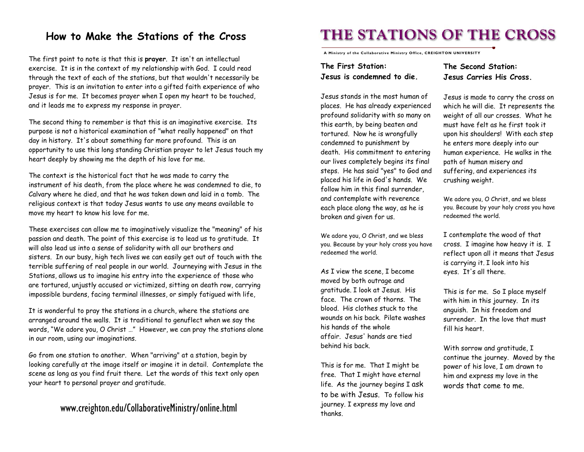# **How to Make the Stations of the Cross**

The first point to note is that this is **prayer**. It isn't an intellectual exercise. It is in the context of my relationship with God. I could read through the text of each of the stations, but that wouldn't necessarily be prayer. This is an invitation to enter into a gifted faith experience of who Jesus is for me. It becomes prayer when I open my heart to be touched, and it leads me to express my response in prayer.

The second thing to remember is that this is an imaginative exercise. Its purpose is not a historical examination of "what really happened" on that day in history. It's about something far more profound. This is an opportunity to use this long standing Christian prayer to let Jesus touch my heart deeply by showing me the depth of his love for me.

The context is the historical fact that he was made to carry the instrument of his death, from the place where he was condemned to die, to Calvary where he died, and that he was taken down and laid in a tomb. The religious context is that today Jesus wants to use any means available to move my heart to know his love for me.

These exercises can allow me to imaginatively visualize the "meaning" of his passion and death. The point of this exercise is to lead us to gratitude. It will also lead us into a sense of solidarity with all our brothers and sisters. In our busy, high tech lives we can easily get out of touch with the terrible suffering of real people in our world. Journeying with Jesus in the Stations, allows us to imagine his entry into the experience of those who are tortured, unjustly accused or victimized, sitting on death row, carrying impossible burdens, facing terminal illnesses, or simply fatigued with life,

It is wonderful to pray the stations in a church, where the stations are arranged around the walls. It is traditional to genuflect when we say the words, "We adore you, O Christ …" However, we can pray the stations alone in our room, using our imaginations.

Go from one station to another. When "arriving" at a station, begin by looking carefully at the image itself or imagine it in detail. Contemplate the scene as long as you find fruit there. Let the words of this text only open your heart to personal prayer and gratitude.

## www.creighton.edu/CollaborativeMinistry/online.html

# **THE STATIONS OF THE CROSS**

**A Ministry of the Collaborative Ministry Office, CREIGHTON UNIVERSITY** 

**The First Station: Jesus is condemned to die.** **The Second Station: Jesus Carries His Cross.**

Jesus stands in the most human of places. He has already experienced profound solidarity with so many on this earth, by being beaten and tortured. Now he is wrongfully condemned to punishment by death. His commitment to entering our lives completely begins its final steps. He has said "yes" to God and placed his life in God's hands. We follow him in this final surrender, and contemplate with reverence each place along the way, as he is broken and given for us.

We adore you, O Christ, and we bless you. Because by your holy cross you have redeemed the world.

As I view the scene, I become moved by both outrage and gratitude. I look at Jesus. His face. The crown of thorns. The blood. His clothes stuck to the wounds on his back. Pilate washes his hands of the whole affair. Jesus' hands are tied behind his back.

This is for me. That I might be free. That I might have eternal life. As the journey begins I ask to be with Jesus. To follow his journey. I express my love and thanks.

Jesus is made to carry the cross on which he will die. It represents the weight of all our crosses. What he must have felt as he first took it upon his shoulders! With each step he enters more deeply into our human experience. He walks in the path of human misery and suffering, and experiences its crushing weight.

We adore you, O Christ, and we bless you. Because by your holy cross you have redeemed the world.

I contemplate the wood of that cross. I imagine how heavy it is. I reflect upon all it means that Jesus is carrying it. I look into his eyes. It's all there.

This is for me. So I place myself with him in this journey. In its anguish. In his freedom and surrender. In the love that must fill his heart.

With sorrow and gratitude, I continue the journey. Moved by the power of his love, I am drawn to him and express my love in the words that come to me.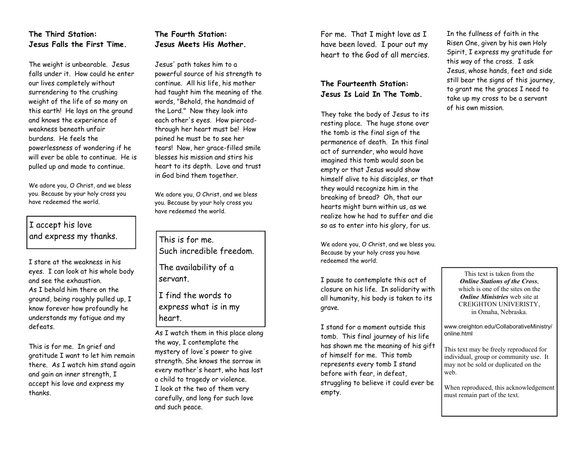## **The Third Station: Jesus Falls the First Time.**

The weight is unbearable. Jesus falls under it. How could he enter our lives completely without surrendering to the crushing weight of the life of so many on this earth! He lays on the ground and knows the experience of weakness beneath unfair burdens. He feels the powerlessness of wondering if he will ever be able to continue. He is pulled up and made to continue.

We adore you, O Christ, and we bless you. Because by your holy cross you have redeemed the world.

I accept his love and express my thanks.

I stare at the weakness in his eyes. I can look at his whole body and see the exhaustion. As I behold him there on the ground, being roughly pulled up, I know forever how profoundly he understands my fatigue and my defeats.

This is for me. In grief and gratitude I want to let him remain there. As I watch him stand again and gain an inner strength, I accept his love and express my thanks.

## **The Fourth Station: Jesus Meets His Mother.**

Jesus' path takes him to a powerful source of his strength to continue. All his life, his mother had taught him the meaning of the words, "Behold, the handmaid of the Lord." Now they look into each other's eyes. How piercedthrough her heart must be! How pained he must be to see her tears! Now, her grace-filled smile blesses his mission and stirs his heart to its depth. Love and trust in God bind them together.

We adore you, O Christ, and we bless you. Because by your holy cross you have redeemed the world.

This is for me. Such incredible freedom. The availability of a servant.

I find the words to express what is in my heart.

As I watch them in this place along the way, I contemplate the mystery of love's power to give strength. She knows the sorrow in every mother's heart, who has lost a child to tragedy or violence. I look at the two of them very carefully, and long for such love and such peace.

For me. That I might love as I have been loved. I pour out my heart to the God of all mercies.

## **The Fourteenth Station: Jesus Is Laid In The Tomb.**

They take the body of Jesus to its resting place. The huge stone over the tomb is the final sign of the permanence of death. In this final act of surrender, who would have imagined this tomb would soon be empty or that Jesus would show himself alive to his disciples, or that they would recognize him in the breaking of bread? Oh, that our hearts might burn within us, as we realize how he had to suffer and die so as to enter into his glory, for us.

We adore you, O Christ, and we bless you. Because by your holy cross you have redeemed the world.

I pause to contemplate this act of closure on his life. In solidarity with all humanity, his body is taken to its grave.

I stand for a moment outside this tomb. This final journey of his life has shown me the meaning of his gift of himself for me. This tomb represents every tomb I stand before with fear, in defeat, struggling to believe it could ever be empty.

In the fullness of faith in the Risen One, given by his own Holy Spirit, I express my gratitude for this way of the cross. I ask Jesus, whose hands, feet and side still bear the signs of this journey, to grant me the graces I need to take up my cross to be a servant of his own mission.

> This text is taken from the *Online Stations of the Cross*, which is one of the sites on the *Online Ministries* web site at CREIGHTON UNIVERISTY, in Omaha, Nebraska.

www.creighton.edu/CollaborativeMinistry/ online.html

This text may be freely reproduced for individual, group or community use. It may not be sold or duplicated on the web.

When reproduced, this acknowledgement must remain part of the text.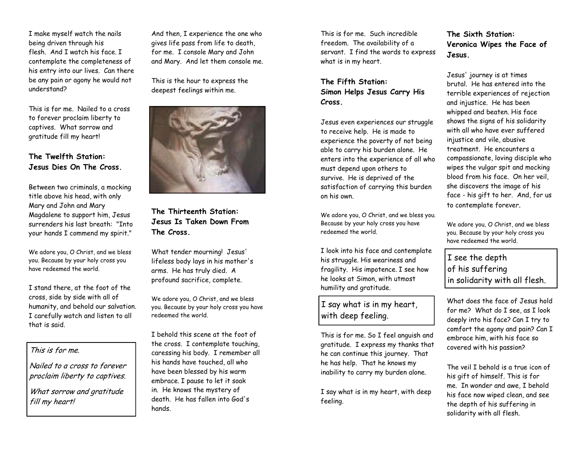I make myself watch the nails being driven through his flesh. And I watch his face. I contemplate the completeness of his entry into our lives. Can there be any pain or agony he would not understand?

This is for me. Nailed to a cross to forever proclaim liberty to captives. What sorrow and gratitude fill my heart!

#### **The Twelfth Station: Jesus Dies On The Cross.**

Between two criminals, a mocking title above his head, with only Mary and John and Mary Magdalene to support him, Jesus surrenders his last breath: "Into your hands I commend my spirit."

We adore you, O Christ, and we bless you. Because by your holy cross you have redeemed the world.

I stand there, at the foot of the cross, side by side with all of humanity, and behold our salvation. I carefully watch and listen to all that is said.

## This is for me.

Nailed to a cross to forever proclaim liberty to captives.

What sorrow and gratitude fill my heart!

And then, I experience the one who gives life pass from life to death, for me. I console Mary and John and Mary. And let them console me.

This is the hour to express the deepest feelings within me.



**The Thirteenth Station: Jesus Is Taken Down From The Cross.**

What tender mourning! Jesus' lifeless body lays in his mother's arms. He has truly died. A profound sacrifice, complete.

We adore you, O Christ, and we bless you. Because by your holy cross you have redeemed the world.

I behold this scene at the foot of the cross. I contemplate touching, caressing his body. I remember all his hands have touched, all who have been blessed by his warm embrace. I pause to let it soak in. He knows the mystery of death. He has fallen into God's hands.

This is for me. Such incredible freedom. The availability of a servant. I find the words to express what is in my heart.

**The Fifth Station: Simon Helps Jesus Carry His Cross.**

Jesus even experiences our struggle to receive help. He is made to experience the poverty of not being able to carry his burden alone. He enters into the experience of all who must depend upon others to survive. He is deprived of the satisfaction of carrying this burden on his own.

We adore you, O Christ, and we bless you. Because by your holy cross you have redeemed the world.

I look into his face and contemplate his struggle. His weariness and fragility. His impotence. I see how he looks at Simon, with utmost humility and gratitude.

I say what is in my heart, with deep feeling.

This is for me. So I feel anguish and gratitude. I express my thanks that he can continue this journey. That he has help. That he knows my inability to carry my burden alone.

I say what is in my heart, with deep feeling.

## **The Sixth Station: Veronica Wipes the Face of Jesus.**

Jesus' journey is at times brutal. He has entered into the terrible experiences of rejection and injustice. He has been whipped and beaten. His face shows the signs of his solidarity with all who have ever suffered injustice and vile, abusive treatment. He encounters a compassionate, loving disciple who wipes the vulgar spit and mocking blood from his face. On her veil, she discovers the image of his face - his gift to her. And, for us to contemplate forever.

We adore you, O Christ, and we bless you. Because by your holy cross you have redeemed the world.

I see the depth of his suffering in solidarity with all flesh.

What does the face of Jesus hold for me? What do I see, as I look deeply into his face? Can I try to comfort the agony and pain? Can I embrace him, with his face so covered with his passion?

The veil I behold is a true icon of his gift of himself. This is for me. In wonder and awe, I behold his face now wiped clean, and see the depth of his suffering in solidarity with all flesh.